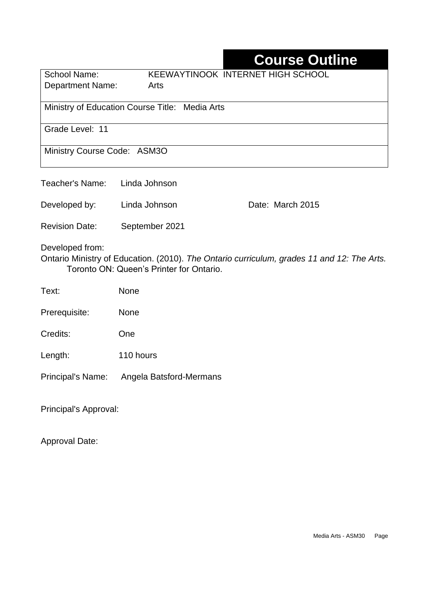# **Course Outline**

| School Name:<br>Department Name:               | KEEWAYTINOOK INTERNET HIGH SCHOOL<br>Arts |  |
|------------------------------------------------|-------------------------------------------|--|
|                                                |                                           |  |
| Ministry of Education Course Title: Media Arts |                                           |  |

Grade Level: 11

Ministry Course Code: ASM3O

| Teacher's Name:          | Linda Johnson                            |                                                                                            |
|--------------------------|------------------------------------------|--------------------------------------------------------------------------------------------|
| Developed by:            | Linda Johnson                            | Date: March 2015                                                                           |
| <b>Revision Date:</b>    | September 2021                           |                                                                                            |
| Developed from:          | Toronto ON: Queen's Printer for Ontario. | Ontario Ministry of Education. (2010). The Ontario curriculum, grades 11 and 12: The Arts. |
| Text:                    | <b>None</b>                              |                                                                                            |
| Prerequisite:            | <b>None</b>                              |                                                                                            |
| Credits:                 | One                                      |                                                                                            |
| Length:                  | 110 hours                                |                                                                                            |
| <b>Principal's Name:</b> | Angela Batsford-Mermans                  |                                                                                            |

Principal's Approval:

Approval Date: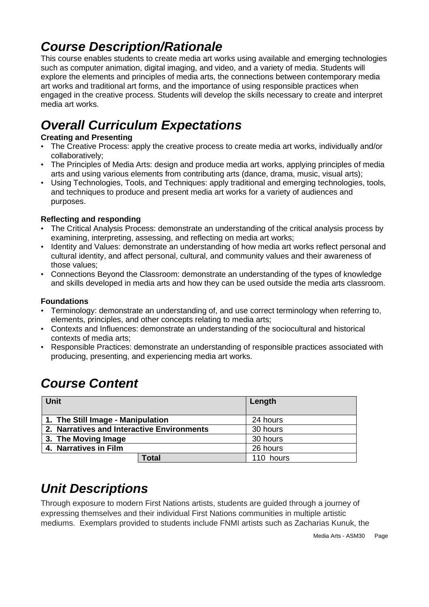# *Course Description/Rationale*

This course enables students to create media art works using available and emerging technologies such as computer animation, digital imaging, and video, and a variety of media. Students will explore the elements and principles of media arts, the connections between contemporary media art works and traditional art forms, and the importance of using responsible practices when engaged in the creative process. Students will develop the skills necessary to create and interpret media art works.

# *Overall Curriculum Expectations*

### **Creating and Presenting**

- The Creative Process: apply the creative process to create media art works, individually and/or collaboratively;
- The Principles of Media Arts: design and produce media art works, applying principles of media arts and using various elements from contributing arts (dance, drama, music, visual arts);
- Using Technologies, Tools, and Techniques: apply traditional and emerging technologies, tools, and techniques to produce and present media art works for a variety of audiences and purposes.

### **Reflecting and responding**

- The Critical Analysis Process: demonstrate an understanding of the critical analysis process by examining, interpreting, assessing, and reflecting on media art works;
- Identity and Values: demonstrate an understanding of how media art works reflect personal and cultural identity, and affect personal, cultural, and community values and their awareness of those values;
- Connections Beyond the Classroom: demonstrate an understanding of the types of knowledge and skills developed in media arts and how they can be used outside the media arts classroom.

### **Foundations**

- Terminology: demonstrate an understanding of, and use correct terminology when referring to, elements, principles, and other concepts relating to media arts;
- Contexts and Influences: demonstrate an understanding of the sociocultural and historical contexts of media arts;
- Responsible Practices: demonstrate an understanding of responsible practices associated with producing, presenting, and experiencing media art works.

# *Course Content*

| <b>Unit</b>                                |       | Length    |
|--------------------------------------------|-------|-----------|
| 1. The Still Image - Manipulation          |       | 24 hours  |
| 2. Narratives and Interactive Environments |       | 30 hours  |
| 3. The Moving Image                        |       | 30 hours  |
| 4. Narratives in Film                      |       | 26 hours  |
|                                            | Total | 110 hours |

# *Unit Descriptions*

Through exposure to modern First Nations artists, students are guided through a journey of expressing themselves and their individual First Nations communities in multiple artistic mediums. Exemplars provided to students include FNMI artists such as Zacharias Kunuk, the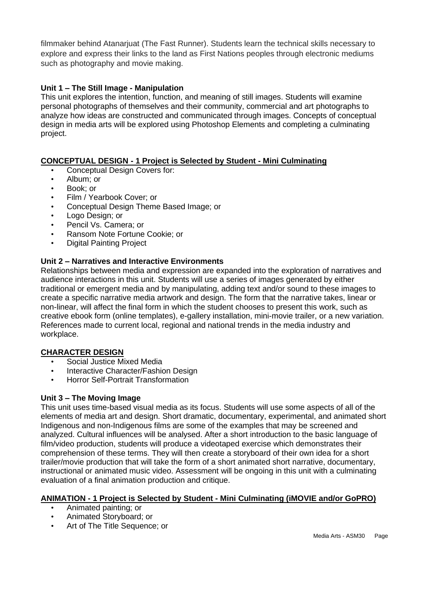filmmaker behind Atanarjuat (The Fast Runner). Students learn the technical skills necessary to explore and express their links to the land as First Nations peoples through electronic mediums such as photography and movie making.

### **Unit 1 – The Still Image - Manipulation**

This unit explores the intention, function, and meaning of still images. Students will examine personal photographs of themselves and their community, commercial and art photographs to analyze how ideas are constructed and communicated through images. Concepts of conceptual design in media arts will be explored using Photoshop Elements and completing a culminating project.

### **CONCEPTUAL DESIGN - 1 Project is Selected by Student - Mini Culminating**

- Conceptual Design Covers for:
- Album; or
- Book; or
- Film / Yearbook Cover; or
- Conceptual Design Theme Based Image; or
- Logo Design; or
- Pencil Vs. Camera; or
- Ransom Note Fortune Cookie; or
- Digital Painting Project

#### **Unit 2 – Narratives and Interactive Environments**

Relationships between media and expression are expanded into the exploration of narratives and audience interactions in this unit. Students will use a series of images generated by either traditional or emergent media and by manipulating, adding text and/or sound to these images to create a specific narrative media artwork and design. The form that the narrative takes, linear or non-linear, will affect the final form in which the student chooses to present this work, such as creative ebook form (online templates), e-gallery installation, mini-movie trailer, or a new variation. References made to current local, regional and national trends in the media industry and workplace.

### **CHARACTER DESIGN**

- Social Justice Mixed Media
- Interactive Character/Fashion Design
- Horror Self-Portrait Transformation

#### **Unit 3 – The Moving Image**

This unit uses time-based visual media as its focus. Students will use some aspects of all of the elements of media art and design. Short dramatic, documentary, experimental, and animated short Indigenous and non-Indigenous films are some of the examples that may be screened and analyzed. Cultural influences will be analysed. After a short introduction to the basic language of film/video production, students will produce a videotaped exercise which demonstrates their comprehension of these terms. They will then create a storyboard of their own idea for a short trailer/movie production that will take the form of a short animated short narrative, documentary, instructional or animated music video. Assessment will be ongoing in this unit with a culminating evaluation of a final animation production and critique.

#### **ANIMATION - 1 Project is Selected by Student - Mini Culminating (iMOVIE and/or GoPRO)**

- Animated painting; or
- Animated Storyboard; or
- Art of The Title Sequence; or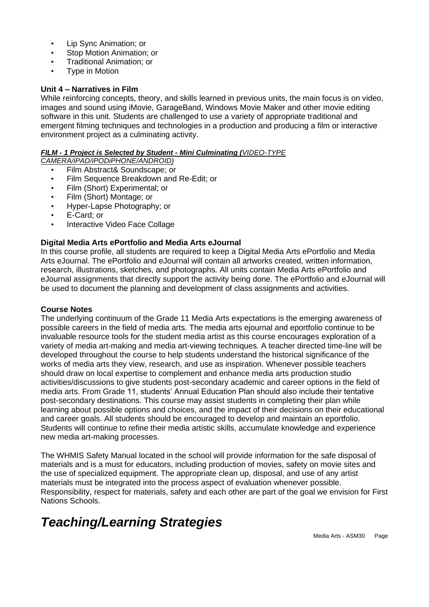- Lip Sync Animation; or
- Stop Motion Animation; or
- Traditional Animation; or
- **Type in Motion**

#### **Unit 4 – Narratives in Film**

While reinforcing concepts, theory, and skills learned in previous units, the main focus is on video, images and sound using iMovie, GarageBand, Windows Movie Maker and other movie editing software in this unit. Students are challenged to use a variety of appropriate traditional and emergent filming techniques and technologies in a production and producing a film or interactive environment project as a culminating activity.

#### *FILM - 1 Project is Selected by Student - Mini Culminating (VIDEO-TYPE*

*CAMERA/iPAD/iPODiPHONE/ANDROID)* 

• Film Abstract& Soundscape; or

- Film Sequence Breakdown and Re-Edit; or
- Film (Short) Experimental; or
- Film (Short) Montage; or
- Hyper-Lapse Photography; or
- E-Card; or
- Interactive Video Face Collage

### **Digital Media Arts ePortfolio and Media Arts eJournal**

In this course profile, all students are required to keep a Digital Media Arts ePortfolio and Media Arts eJournal. The ePortfolio and eJournal will contain all artworks created, written information, research, illustrations, sketches, and photographs. All units contain Media Arts ePortfolio and eJournal assignments that directly support the activity being done. The ePortfolio and eJournal will be used to document the planning and development of class assignments and activities.

#### **Course Notes**

The underlying continuum of the Grade 11 Media Arts expectations is the emerging awareness of possible careers in the field of media arts. The media arts ejournal and eportfolio continue to be invaluable resource tools for the student media artist as this course encourages exploration of a variety of media art-making and media art-viewing techniques. A teacher directed time-line will be developed throughout the course to help students understand the historical significance of the works of media arts they view, research, and use as inspiration. Whenever possible teachers should draw on local expertise to complement and enhance media arts production studio activities/discussions to give students post-secondary academic and career options in the field of media arts. From Grade 11, students' Annual Education Plan should also include their tentative post-secondary destinations. This course may assist students in completing their plan while learning about possible options and choices, and the impact of their decisions on their educational and career goals. All students should be encouraged to develop and maintain an eportfolio. Students will continue to refine their media artistic skills, accumulate knowledge and experience new media art-making processes.

The WHMIS Safety Manual located in the school will provide information for the safe disposal of materials and is a must for educators, including production of movies, safety on movie sites and the use of specialized equipment. The appropriate clean up, disposal, and use of any artist materials must be integrated into the process aspect of evaluation whenever possible. Responsibility, respect for materials, safety and each other are part of the goal we envision for First Nations Schools.

# *Teaching/Learning Strategies*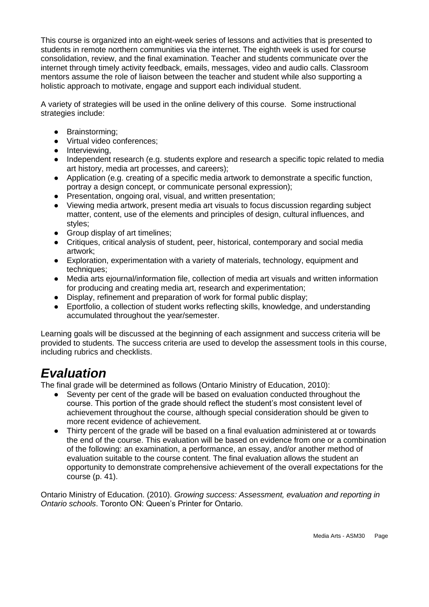This course is organized into an eight-week series of lessons and activities that is presented to students in remote northern communities via the internet. The eighth week is used for course consolidation, review, and the final examination. Teacher and students communicate over the internet through timely activity feedback, emails, messages, video and audio calls. Classroom mentors assume the role of liaison between the teacher and student while also supporting a holistic approach to motivate, engage and support each individual student.

A variety of strategies will be used in the online delivery of this course. Some instructional strategies include:

- Brainstorming;
- Virtual video conferences;
- Interviewing,
- Independent research (e.g. students explore and research a specific topic related to media art history, media art processes, and careers);
- Application (e.g. creating of a specific media artwork to demonstrate a specific function, portray a design concept, or communicate personal expression);
- Presentation, ongoing oral, visual, and written presentation;<br>● Viewing media artwork. present media art visuals to focus di
- Viewing media artwork, present media art visuals to focus discussion regarding subject matter, content, use of the elements and principles of design, cultural influences, and styles;
- Group display of art timelines;
- Critiques, critical analysis of student, peer, historical, contemporary and social media artwork;
- Exploration, experimentation with a variety of materials, technology, equipment and techniques;
- Media arts ejournal/information file, collection of media art visuals and written information for producing and creating media art, research and experimentation;
- Display, refinement and preparation of work for formal public display;
- Eportfolio, a collection of student works reflecting skills, knowledge, and understanding accumulated throughout the year/semester.

Learning goals will be discussed at the beginning of each assignment and success criteria will be provided to students. The success criteria are used to develop the assessment tools in this course, including rubrics and checklists.

### *Evaluation*

The final grade will be determined as follows (Ontario Ministry of Education, 2010):

- Seventy per cent of the grade will be based on evaluation conducted throughout the course. This portion of the grade should reflect the student's most consistent level of achievement throughout the course, although special consideration should be given to more recent evidence of achievement.
- Thirty percent of the grade will be based on a final evaluation administered at or towards the end of the course. This evaluation will be based on evidence from one or a combination of the following: an examination, a performance, an essay, and/or another method of evaluation suitable to the course content. The final evaluation allows the student an opportunity to demonstrate comprehensive achievement of the overall expectations for the course (p. 41).

Ontario Ministry of Education. (2010). *Growing success: Assessment, evaluation and reporting in Ontario schools*. Toronto ON: Queen's Printer for Ontario.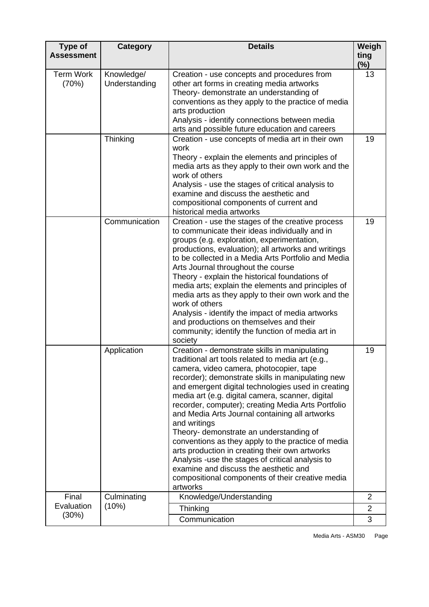| Type of<br><b>Assessment</b> | <b>Category</b>             | <b>Details</b>                                                                                                                                                                                                                                                                                                                                                                                                                                                                                                                                                                                                                                                                                                                                       | Weigh<br>ting<br>(%) |
|------------------------------|-----------------------------|------------------------------------------------------------------------------------------------------------------------------------------------------------------------------------------------------------------------------------------------------------------------------------------------------------------------------------------------------------------------------------------------------------------------------------------------------------------------------------------------------------------------------------------------------------------------------------------------------------------------------------------------------------------------------------------------------------------------------------------------------|----------------------|
| <b>Term Work</b><br>(70%)    | Knowledge/<br>Understanding | Creation - use concepts and procedures from<br>other art forms in creating media artworks<br>Theory- demonstrate an understanding of<br>conventions as they apply to the practice of media<br>arts production<br>Analysis - identify connections between media<br>arts and possible future education and careers                                                                                                                                                                                                                                                                                                                                                                                                                                     | 13                   |
|                              | Thinking                    | Creation - use concepts of media art in their own<br>work<br>Theory - explain the elements and principles of<br>media arts as they apply to their own work and the<br>work of others<br>Analysis - use the stages of critical analysis to<br>examine and discuss the aesthetic and<br>compositional components of current and<br>historical media artworks                                                                                                                                                                                                                                                                                                                                                                                           | 19                   |
|                              | Communication               | Creation - use the stages of the creative process<br>to communicate their ideas individually and in<br>groups (e.g. exploration, experimentation,<br>productions, evaluation); all artworks and writings<br>to be collected in a Media Arts Portfolio and Media<br>Arts Journal throughout the course<br>Theory - explain the historical foundations of<br>media arts; explain the elements and principles of<br>media arts as they apply to their own work and the<br>work of others<br>Analysis - identify the impact of media artworks<br>and productions on themselves and their<br>community; identify the function of media art in<br>society                                                                                                  | 19                   |
|                              | Application                 | Creation - demonstrate skills in manipulating<br>traditional art tools related to media art (e.g.,<br>camera, video camera, photocopier, tape<br>recorder); demonstrate skills in manipulating new<br>and emergent digital technologies used in creating<br>media art (e.g. digital camera, scanner, digital<br>recorder, computer); creating Media Arts Portfolio<br>and Media Arts Journal containing all artworks<br>and writings<br>Theory- demonstrate an understanding of<br>conventions as they apply to the practice of media<br>arts production in creating their own artworks<br>Analysis -use the stages of critical analysis to<br>examine and discuss the aesthetic and<br>compositional components of their creative media<br>artworks | 19                   |
| Final                        | Culminating                 | Knowledge/Understanding                                                                                                                                                                                                                                                                                                                                                                                                                                                                                                                                                                                                                                                                                                                              | $\overline{2}$       |
| Evaluation                   | (10%)                       | Thinking                                                                                                                                                                                                                                                                                                                                                                                                                                                                                                                                                                                                                                                                                                                                             | $\overline{2}$       |
| (30%)                        |                             | Communication                                                                                                                                                                                                                                                                                                                                                                                                                                                                                                                                                                                                                                                                                                                                        | 3                    |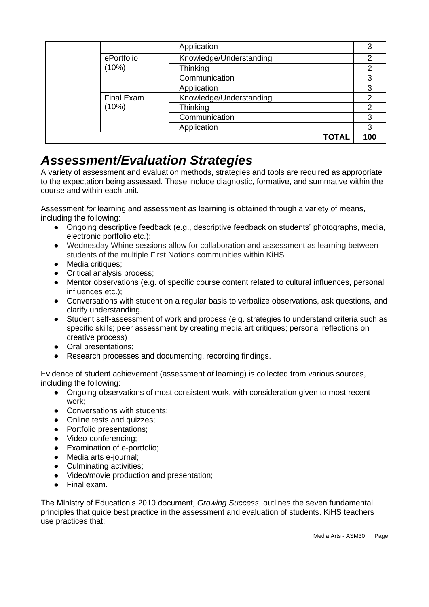|                   | Application             |     |
|-------------------|-------------------------|-----|
| ePortfolio        | Knowledge/Understanding | 2   |
| (10%)             | Thinking                | 2   |
|                   | Communication           | 3   |
|                   | Application             | 3   |
| <b>Final Exam</b> | Knowledge/Understanding | 2   |
| (10%)             | Thinking                | 2   |
|                   | Communication           | 3   |
|                   | Application             | 3   |
|                   | <b>TOTAL</b>            | 100 |

## *Assessment/Evaluation Strategies*

A variety of assessment and evaluation methods, strategies and tools are required as appropriate to the expectation being assessed. These include diagnostic, formative, and summative within the course and within each unit.

Assessment *for* learning and assessment *as* learning is obtained through a variety of means, including the following:

- Ongoing descriptive feedback (e.g., descriptive feedback on students' photographs, media, electronic portfolio etc.);
- Wednesday Whine sessions allow for collaboration and assessment as learning between students of the multiple First Nations communities within KiHS
- Media critiques;
- Critical analysis process;
- Mentor observations (e.g. of specific course content related to cultural influences, personal influences etc.);
- Conversations with student on a regular basis to verbalize observations, ask questions, and clarify understanding.
- Student self-assessment of work and process (e.g. strategies to understand criteria such as specific skills; peer assessment by creating media art critiques; personal reflections on creative process)
- Oral presentations;
- Research processes and documenting, recording findings.

Evidence of student achievement (assessment *of* learning) is collected from various sources, including the following:

- Ongoing observations of most consistent work, with consideration given to most recent work;
- Conversations with students:
- Online tests and quizzes;
- Portfolio presentations;
- Video-conferencing;
- Examination of e-portfolio;
- Media arts e-journal;
- Culminating activities;
- Video/movie production and presentation;
- Final exam.

The Ministry of Education's 2010 document, *Growing Success*, outlines the seven fundamental principles that guide best practice in the assessment and evaluation of students. KiHS teachers use practices that: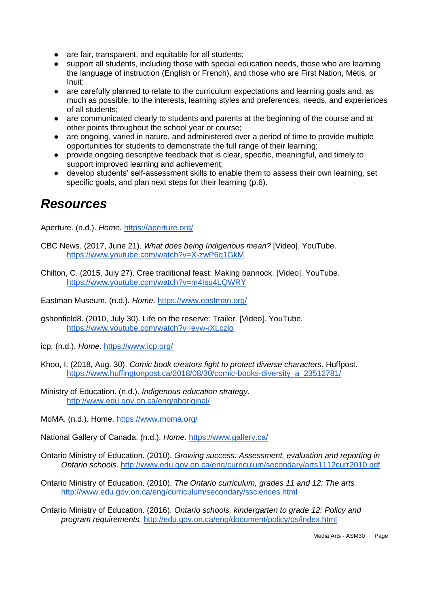- are fair, transparent, and equitable for all students:
- support all students, including those with special education needs, those who are learning the language of instruction (English or French), and those who are First Nation, Métis, or Inuit;
- are carefully planned to relate to the curriculum expectations and learning goals and, as much as possible, to the interests, learning styles and preferences, needs, and experiences of all students;
- are communicated clearly to students and parents at the beginning of the course and at other points throughout the school year or course;
- are ongoing, varied in nature, and administered over a period of time to provide multiple opportunities for students to demonstrate the full range of their learning;
- provide ongoing descriptive feedback that is clear, specific, meaningful, and timely to support improved learning and achievement;
- develop students' self-assessment skills to enable them to assess their own learning, set specific goals, and plan next steps for their learning (p.6).

### *Resources*

Aperture. (n.d.). *Home.* <https://aperture.org/>

- CBC News. (2017, June 21). *What does being Indigenous mean?* [Video]. YouTube. <https://www.youtube.com/watch?v=X-zwP6q1GkM>
- Chilton, C. (2015, July 27). Cree traditional feast: Making bannock. [Video]. YouTube. <https://www.youtube.com/watch?v=m4Isu4LQWRY>

Eastman Museum. (n.d.). *Home*.<https://www.eastman.org/>

gshonfield8. (2010, July 30). Life on the reserve: Trailer. [Video]. YouTube. <https://www.youtube.com/watch?v=evw-jXLczlo>

icp. (n.d.). *Home*.<https://www.icp.org/>

- Khoo, I. (2018, Aug. 30). *Comic book creators fight to protect diverse characters*. Huffpost. [https://www.huffingtonpost.ca/2018/08/30/comic-books-diversity\\_a\\_23512781/](https://www.huffingtonpost.ca/2018/08/30/comic-books-diversity_a_23512781/)
- Ministry of Education. (n.d.). *Indigenous education strategy.* <http://www.edu.gov.on.ca/eng/aboriginal/>

MoMA. (n.d.). Home.<https://www.moma.org/>

National Gallery of Canada. (n.d.). *Home*.<https://www.gallery.ca/>

Ontario Ministry of Education. (2010). *Growing success: Assessment, evaluation and reporting in Ontario schools*.<http://www.edu.gov.on.ca/eng/curriculum/secondary/arts1112curr2010.pdf>

Ontario Ministry of Education. (2010). *The Ontario curriculum, grades 11 and 12: The arts.*  <http://www.edu.gov.on.ca/eng/curriculum/secondary/ssciences.html>

Ontario Ministry of Education. (2016). *Ontario schools, kindergarten to grade 12: Policy and program requirements.* <http://edu.gov.on.ca/eng/document/policy/os/index.html>